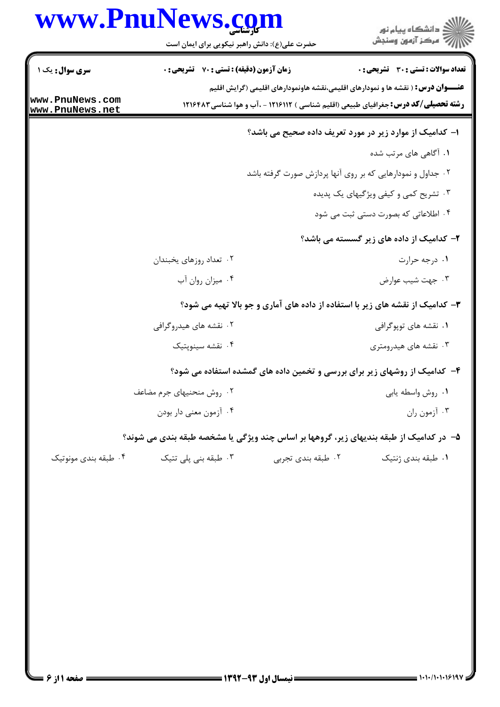|                                    | www.PnuNews.cg<br>حضرت علی(ع): دانش راهبر نیکویی برای ایمان است                        |                                                             | د<br>آڪ دانشڪاه پيام نور<br>7ء مرڪز آزمون وسنڊش                                                                                                                                        |
|------------------------------------|----------------------------------------------------------------------------------------|-------------------------------------------------------------|----------------------------------------------------------------------------------------------------------------------------------------------------------------------------------------|
| سری سوال: یک ۱                     | زمان آزمون (دقیقه) : تستی : 70 گشریحی : 0                                              |                                                             | تعداد سوالات : تستى : 30 ٪ تشريحي : 0                                                                                                                                                  |
| www.PnuNews.com<br>www.PnuNews.net |                                                                                        |                                                             | <b>عنــــوان درس:</b> ( نقشه ها و نمودارهای اقلیمی،نقشه هاونمودارهای اقلیمی (گرایش اقلیم<br><b>رشته تحصیلی/کد درس:</b> جغرافیای طبیعی (اقلیم شناسی ) ۱۲۱۶۱۱۲ - ،آب و هوا شناسی ۱۲۱۶۴۸۳ |
|                                    |                                                                                        | ا- کدامیک از موارد زیر در مورد تعریف داده صحیح می باشد؟     |                                                                                                                                                                                        |
|                                    |                                                                                        |                                                             | ۰۱ آگاهی های مرتب شده                                                                                                                                                                  |
|                                    |                                                                                        | ۰۲ جداول و نمودارهایی که بر روی آنها پردازش صورت گرفته باشد |                                                                                                                                                                                        |
|                                    |                                                                                        |                                                             | ۰۳ تشریح کمی و کیفی ویژگیهای یک پدیده                                                                                                                                                  |
|                                    |                                                                                        |                                                             | ۰۴ اطلاعاتی که بصورت دستی ثبت می شود                                                                                                                                                   |
|                                    |                                                                                        |                                                             | ۲- کدامیک از داده های زیر گسسته می باشد؟                                                                                                                                               |
|                                    | ۰۲ تعداد روزهای يخبندان                                                                |                                                             | ۰۱ درجه حرارت                                                                                                                                                                          |
|                                    | ۰۴ میزان روان آب                                                                       |                                                             | ۰۳ جهت شيب عوارض                                                                                                                                                                       |
|                                    |                                                                                        |                                                             | ۳- کدامیک از نقشه های زیر با استفاده از داده های آماری و جو بالا تهیه می شود؟                                                                                                          |
|                                    | ۲. نقشه های هیدروگرافی                                                                 |                                                             | ۰۱ نقشه های توپوگرافی                                                                                                                                                                  |
|                                    | ۰۴ نقشه سينوپتيک                                                                       |                                                             | ۰۳ نقشه های هیدرومتری                                                                                                                                                                  |
|                                    |                                                                                        |                                                             | ۴- کدامیک از روشهای زیر برای بررسی و تخمین داده های گمشده استفاده می شود؟                                                                                                              |
|                                    | ۰۲ روش منحنیهای جرم مضاعف                                                              |                                                             | ٠١ روش واسطه يابي                                                                                                                                                                      |
|                                    | ۰۴ آزمون معنى دار بودن                                                                 |                                                             | ۰۳ آزمون ران                                                                                                                                                                           |
|                                    | ۵– در کدامیک از طبقه بندیهای زیر، گروهها بر اساس چند ویژگی یا مشخصه طبقه بندی می شوند؟ |                                                             |                                                                                                                                                                                        |
| ۰۴ طبقه بندی مونوتیک               | ۰۳ طبقه بنی پلی تتیک                                                                   | ۰۲ طبقه بندی تجربی                                          | ۰۱ طبقه بندی ژنتیک                                                                                                                                                                     |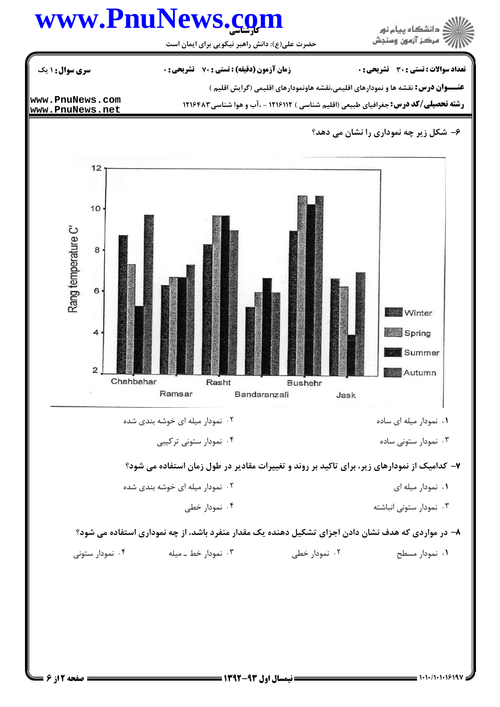## كارشناسي **[www.PnuNews.com](http://www.PnuNews.com)**



حضرت علي(ع): دانش راهبر نيكويي براي ايمان است

تعداد سوالات : تستي تشريحي زمان آزمون (دقيقه) : تستي تشريحي سري سوال ( ' \*: +\*: \* )\*: : :

عنــــوان درس: نقشه ها و نمودارهای اقلیمی،نقشه هاونمودارهای اقلیمی (گرایش اقلیم )

**[www.PnuNews.com](http://pnunews.com)**

**رشته تحصیلی/کد درس:** جغرافیای طبیعی (اقلیم شناسی ) ۱۲۱۶۱۱۲ - .آب و هوا شناسی ۱۲۱۶۴۸۳

**[www.PnuNews.net](http://pnunews.net)**

## ۶– شکل زیر چه نموداری را نشان می دهد؟



۰۴ نمودار ستونی ترکیبی ۰۳ نمودار ستونی ساده (میلادی) به عنوان استان به ساده (میلادی) به عنوان استان به عنوان استان استان به عنوان است

۷– کدامیک از نمودارهای زیر، برای تاکید بر روند و تغییرات مقادیر در طول زمان استفاده می شود؟

- -8 G F% ! F% ! 2 ' . .
	- ۰۴ نمودار خطی ۰۳ نمودار ستونی انباشته میشود و معامل است. ۴ میلیونی انباشته میشود و معامل است. میشود که از این معامل است. معا

۸− در مواردی که هدف نشان دادن اجزای تشکیل دهنده یک مقدار منفرد باشد، از چه نموداری استفاده می شود؟

- ! F% I JG ! ?G ! (?H ! 4 3 2 ' . . . .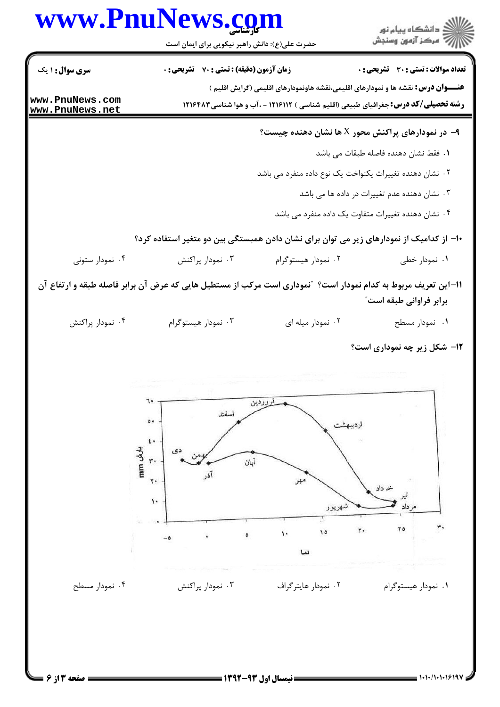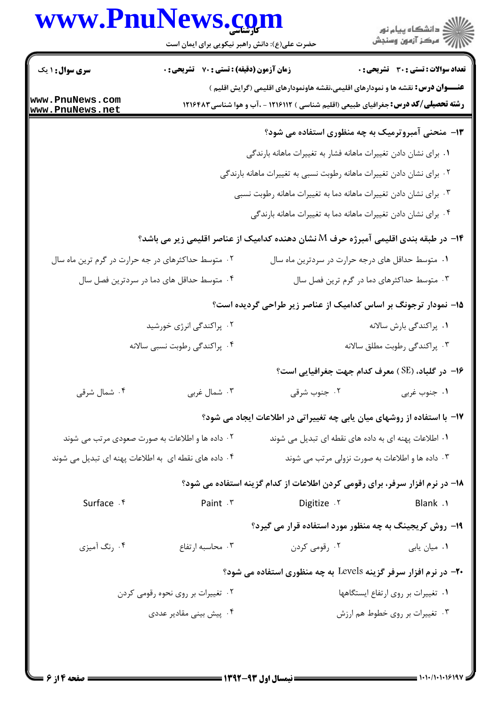## www.PnuNews.com

| www.PnuNews.com                                    | حضرت علی(ع): دانش راهبر نیکویی برای ایمان است                   |                                                                                           | ≦ دانشڪاه پيام نور<br>7- مرڪز آزمون وسنڊش            |
|----------------------------------------------------|-----------------------------------------------------------------|-------------------------------------------------------------------------------------------|------------------------------------------------------|
| <b>سری سوال : ۱ یک</b>                             | <b>زمان آزمون (دقیقه) : تستی : 70 قشریحی : 0</b>                |                                                                                           | <b>تعداد سوالات : تستی : 30 ٪ تشریحی : 0</b>         |
| www.PnuNews.com                                    |                                                                 | <b>عنــــوان درس:</b> نقشه ها و نمودارهای اقلیمی،نقشه هاونمودارهای اقلیمی (گرایش اقلیم )  |                                                      |
| www.PnuNews.net                                    |                                                                 | <b>رشته تحصیلی/کد درس:</b> جغرافیای طبیعی (اقلیم شناسی ) ۱۲۱۶۱۱۲ - ،آب و هوا شناسی۱۲۱۶۴۸۳ |                                                      |
|                                                    |                                                                 |                                                                                           | ۱۳- منحنی آمبروترمیک به چه منظوری استفاده می شود؟    |
|                                                    |                                                                 | ۰۱ برای نشان دادن تغییرات ماهانه فشار به تغییرات ماهانه بارندگی                           |                                                      |
|                                                    |                                                                 | ۰۲ برای نشان دادن تغییرات ماهانه رطوبت نسبی به تغییرات ماهانه بارندگی                     |                                                      |
|                                                    |                                                                 | ۰۳ برای نشان دادن تغییرات ماهانه دما به تغییرات ماهانه رطوبت نسبی                         |                                                      |
|                                                    |                                                                 | ۰۴ برای نشان دادن تغییرات ماهانه دما به تغییرات ماهانه بارندگی                            |                                                      |
|                                                    |                                                                 | ۱۴– در طبقه بندی اقلیمی آمبرژه حرف M نشان دهنده کدامیک از عناصر اقلیمی زیر می باشد؟       |                                                      |
| ۰۲ متوسط حداکثرهای در جه حرارت در گرم ترین ماه سال |                                                                 |                                                                                           | ۰۱ متوسط حداقل های درجه حرارت در سردترین ماه سال     |
|                                                    | ۰۴ متوسط حداقل های دما در سردترین فصل سال                       |                                                                                           | ۰۳ متوسط حداکثرهای دما در گرم ترین فصل سال           |
|                                                    |                                                                 | ۱۵– نمودار ترجونگ بر اساس کدامیک از عناصر زیر طراحی گردیده است؟                           |                                                      |
|                                                    | ۰۲ پراکندگی انرژی خورشید                                        |                                                                                           | ٠١. پراکندگی بارش سالانه                             |
|                                                    | ۰۴ پراکندگی رطوبت نسبی سالانه                                   |                                                                                           | ۰۳ پراکندگی رطوبت مطلق سالانه                        |
|                                                    |                                                                 |                                                                                           | ۱۶− در گلباد، (SE) معرف کدام جهت جغرافیایی است؟      |
| ۰۴ شمال شرقی                                       | ۰۳ شمال غربی                                                    | ۰۲ جنوب شرقی                                                                              | ۰۱ جنوب غربی                                         |
|                                                    |                                                                 | ۱۷– با استفاده از روشهای میان یابی چه تغییراتی در اطلاعات ایجاد می شود؟                   |                                                      |
|                                                    | ۰۲ داده ها و اطلاعات به صورت صعودی مرتب می شوند                 |                                                                                           | ۰۱ اطلاعات پهنه ای به داده های نقطه ای تبدیل می شوند |
|                                                    | ۰۴ داده های نقطه ای  به اطلاعات پهنه ای تبدیل می شوند $\cdot$ ۴ |                                                                                           | ۰۳ داده ها و اطلاعات به صورت نزولی مرتب می شوند      |
|                                                    |                                                                 | ۱۸– در نرم افزار سرفر، برای رقومی کردن اطلاعات از کدام گزینه استفاده می شود؟              |                                                      |
| Surface . f                                        | Paint . ٣                                                       | 7. Digitize                                                                               | Blank .1                                             |
|                                                    |                                                                 | ۱۹- روش کریجینگ به چه منظور مورد استفاده قرار می گیرد؟                                    |                                                      |
| ۰۴ رنگ آمیزی                                       | ۰۳ محاسبه ارتفاع                                                | ۰۲ رقومی کردن                                                                             | ۰۱ میان یابی                                         |
|                                                    |                                                                 |                                                                                           |                                                      |
|                                                    |                                                                 | <b>۲۰</b> - در نرم افزار سرفر گزینه Levels به چه منظوری استفاده می شود؟                   |                                                      |
|                                                    | ۰۲ تغییرات بر روی نحوه رقومی کردن                               |                                                                                           | ٠١ تغييرات بر روى ارتفاع ايستگاهها                   |
|                                                    | ۰۴ پیش بینی مقادیر عددی                                         |                                                                                           | ۰۳ تغییرات بر روی خطوط هم ارزش                       |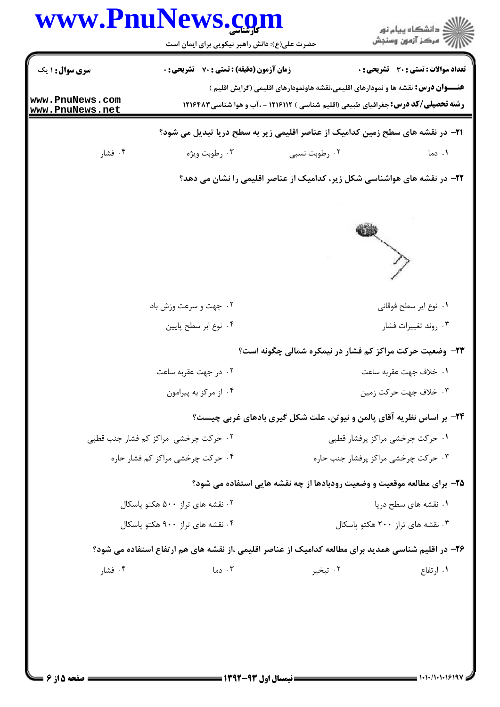| <b>سری سوال : ۱ یک</b><br>www.PnuNews.com | حضرت علی(ع): دانش راهبر نیکویی برای ایمان است<br><b>زمان آزمون (دقیقه) : تستی : 70 ٪ تشریحی : 0</b> |                                                                                                    | ڪ دانشڪاه پيا <sub>م</sub> نور<br>∕7 مرڪز آزمون وسنڊش<br><b>تعداد سوالات : تستی : 30 ٪ تشریحی : 0</b> |  |
|-------------------------------------------|-----------------------------------------------------------------------------------------------------|----------------------------------------------------------------------------------------------------|-------------------------------------------------------------------------------------------------------|--|
|                                           |                                                                                                     |                                                                                                    |                                                                                                       |  |
|                                           |                                                                                                     |                                                                                                    |                                                                                                       |  |
|                                           |                                                                                                     | <b>عنــــوان درس:</b> نقشه ها و نمودارهای اقلیمی،نقشه هاونمودارهای اقلیمی (گرایش اقلیم )           |                                                                                                       |  |
| www.PnuNews.net                           |                                                                                                     | <b>رشته تحصیلی/کد درس:</b> جغرافیای طبیعی (اقلیم شناسی ) ۱۲۱۶۱۱۲ - ،آب و هوا شناسی ۱۲۱۶۴۸۳         |                                                                                                       |  |
|                                           |                                                                                                     | <b>۲۱</b> - در نقشه های سطح زمین کدامیک از عناصر اقلیمی زیر به سطح دریا تبدیل می شود؟              |                                                                                                       |  |
| ۰۴ فشار                                   | ۰۳ رطوبت ویژه                                                                                       | ۰۲ رطوبت نسبی                                                                                      | ۰۱ دما                                                                                                |  |
|                                           |                                                                                                     | ۲۲- در نقشه های هواشناسی شکل زیر، کدامیک از عناصر اقلیمی را نشان می دهد؟                           |                                                                                                       |  |
|                                           |                                                                                                     |                                                                                                    |                                                                                                       |  |
|                                           |                                                                                                     |                                                                                                    |                                                                                                       |  |
|                                           |                                                                                                     |                                                                                                    |                                                                                                       |  |
|                                           | ۰۲ جهت و سرعت وزش باد                                                                               |                                                                                                    | ٠١. نوع اير سطح فوقاني                                                                                |  |
|                                           | ۰۴ نوع ابر سطح پايين                                                                                |                                                                                                    | ۰۳ روند تغييرات فشار                                                                                  |  |
|                                           |                                                                                                     | <b>۲۳</b> - وضعیت حرکت مراکز کم فشار در نیمکره شمالی چگونه است؟                                    |                                                                                                       |  |
|                                           | ۰۲ در جهت عقربه ساعت                                                                                |                                                                                                    | ٠١. خلاف جهت عقربه ساعت                                                                               |  |
|                                           | ۰۴ از مرکز به پیرامون                                                                               |                                                                                                    | ۰۳ خلاف جهت حر کت زمین                                                                                |  |
|                                           |                                                                                                     | <b>۲۴</b> - بر اساس نظریه آقای پالمن و نیوتن، علت شکل گیری بادهای غربی چیست؟                       |                                                                                                       |  |
| ۰۲ حرکت چرخشی ًمراکز کم فشار جنب قطبی     |                                                                                                     |                                                                                                    | ۰۱ حرکت چرخشی مراکز پرفشار قطبی                                                                       |  |
|                                           | ۰۴ حرکت چرخشی مراکز کم فشار حاره                                                                    |                                                                                                    | ۰۳ حرکت چرخشی مراکز پرفشار جنب حاره                                                                   |  |
|                                           |                                                                                                     | ۲۵- برای مطالعه موقعیت و وضعیت رودبادها از چه نقشه هایی استفاده می شود؟                            |                                                                                                       |  |
|                                           | ۰۲ نقشه های تراز ۵۰۰ هکتو پاسکال                                                                    |                                                                                                    | ۰۱ نقشه های سطح دریا                                                                                  |  |
| ۰۴ نقشه های تراز ۹۰۰ هکتو یاسکال          |                                                                                                     |                                                                                                    | ۰۳ نقشه های تراز ۲۰۰ هکتو پاسکال                                                                      |  |
|                                           |                                                                                                     | ۲۶– در اقلیم شناسی همدید برای مطالعه کدامیک از عناصر اقلیمی ،از نقشه های هم ارتفاع استفاده می شود؟ |                                                                                                       |  |
|                                           | ۰۳ دما                                                                                              | ۰۲ تبخیر                                                                                           | ۰۱ ارتفاع                                                                                             |  |